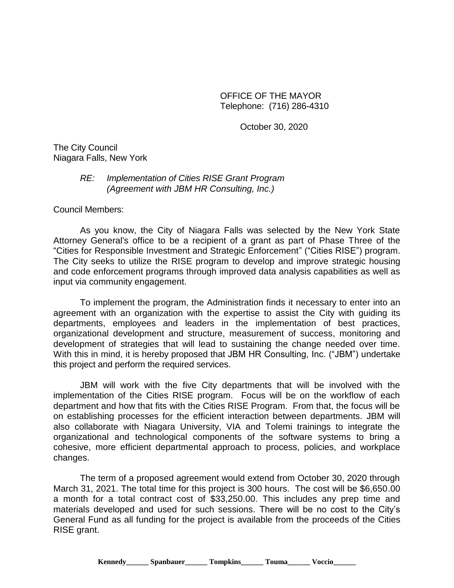OFFICE OF THE MAYOR Telephone: (716) 286-4310

October 30, 2020

The City Council Niagara Falls, New York

## *RE: Implementation of Cities RISE Grant Program (Agreement with JBM HR Consulting, Inc.)*

Council Members:

As you know, the City of Niagara Falls was selected by the New York State Attorney General's office to be a recipient of a grant as part of Phase Three of the "Cities for Responsible Investment and Strategic Enforcement" ("Cities RISE") program. The City seeks to utilize the RISE program to develop and improve strategic housing and code enforcement programs through improved data analysis capabilities as well as input via community engagement.

To implement the program, the Administration finds it necessary to enter into an agreement with an organization with the expertise to assist the City with guiding its departments, employees and leaders in the implementation of best practices, organizational development and structure, measurement of success, monitoring and development of strategies that will lead to sustaining the change needed over time. With this in mind, it is hereby proposed that JBM HR Consulting, Inc. ("JBM") undertake this project and perform the required services.

JBM will work with the five City departments that will be involved with the implementation of the Cities RISE program. Focus will be on the workflow of each department and how that fits with the Cities RISE Program. From that, the focus will be on establishing processes for the efficient interaction between departments. JBM will also collaborate with Niagara University, VIA and Tolemi trainings to integrate the organizational and technological components of the software systems to bring a cohesive, more efficient departmental approach to process, policies, and workplace changes.

The term of a proposed agreement would extend from October 30, 2020 through March 31, 2021. The total time for this project is 300 hours. The cost will be \$6,650.00 a month for a total contract cost of \$33,250.00. This includes any prep time and materials developed and used for such sessions. There will be no cost to the City's General Fund as all funding for the project is available from the proceeds of the Cities RISE grant.

**Kennedy\_\_\_\_\_\_ Spanbauer\_\_\_\_\_\_ Tompkins\_\_\_\_\_\_ Touma\_\_\_\_\_\_ Voccio\_\_\_\_\_\_**